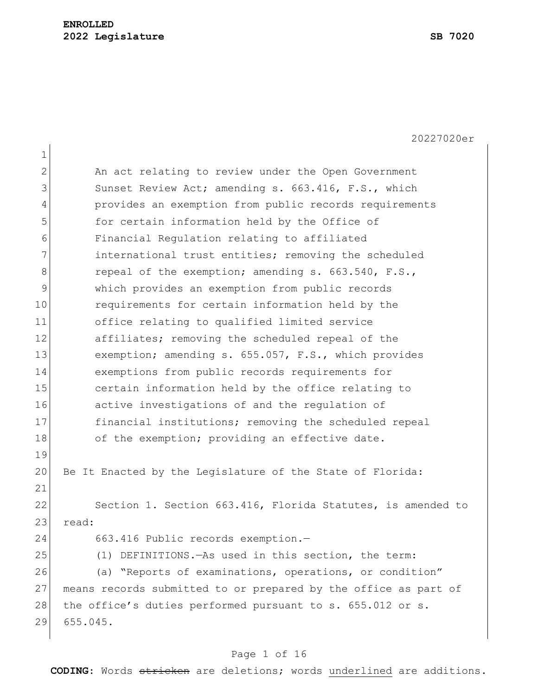| 1  |                                                                 |  |  |  |  |  |  |  |
|----|-----------------------------------------------------------------|--|--|--|--|--|--|--|
| 2  | An act relating to review under the Open Government             |  |  |  |  |  |  |  |
| 3  | Sunset Review Act; amending s. 663.416, F.S., which             |  |  |  |  |  |  |  |
| 4  | provides an exemption from public records requirements          |  |  |  |  |  |  |  |
| 5  | for certain information held by the Office of                   |  |  |  |  |  |  |  |
| 6  | Financial Regulation relating to affiliated                     |  |  |  |  |  |  |  |
| 7  | international trust entities; removing the scheduled            |  |  |  |  |  |  |  |
| 8  | repeal of the exemption; amending s. 663.540, F.S.,             |  |  |  |  |  |  |  |
| 9  | which provides an exemption from public records                 |  |  |  |  |  |  |  |
| 10 | requirements for certain information held by the                |  |  |  |  |  |  |  |
| 11 | office relating to qualified limited service                    |  |  |  |  |  |  |  |
| 12 | affiliates; removing the scheduled repeal of the                |  |  |  |  |  |  |  |
| 13 | exemption; amending s. 655.057, F.S., which provides            |  |  |  |  |  |  |  |
| 14 | exemptions from public records requirements for                 |  |  |  |  |  |  |  |
| 15 | certain information held by the office relating to              |  |  |  |  |  |  |  |
| 16 | active investigations of and the regulation of                  |  |  |  |  |  |  |  |
| 17 | financial institutions; removing the scheduled repeal           |  |  |  |  |  |  |  |
| 18 | of the exemption; providing an effective date.                  |  |  |  |  |  |  |  |
| 19 |                                                                 |  |  |  |  |  |  |  |
| 20 | Be It Enacted by the Legislature of the State of Florida:       |  |  |  |  |  |  |  |
| 21 |                                                                 |  |  |  |  |  |  |  |
| 22 | Section 1. Section 663.416, Florida Statutes, is amended to     |  |  |  |  |  |  |  |
| 23 | read:                                                           |  |  |  |  |  |  |  |
| 24 | 663.416 Public records exemption.-                              |  |  |  |  |  |  |  |
| 25 | (1) DEFINITIONS. - As used in this section, the term:           |  |  |  |  |  |  |  |
| 26 | (a) "Reports of examinations, operations, or condition"         |  |  |  |  |  |  |  |
| 27 | means records submitted to or prepared by the office as part of |  |  |  |  |  |  |  |
| 28 | the office's duties performed pursuant to s. 655.012 or s.      |  |  |  |  |  |  |  |
| 29 | 655.045.                                                        |  |  |  |  |  |  |  |
|    |                                                                 |  |  |  |  |  |  |  |

# Page 1 of 16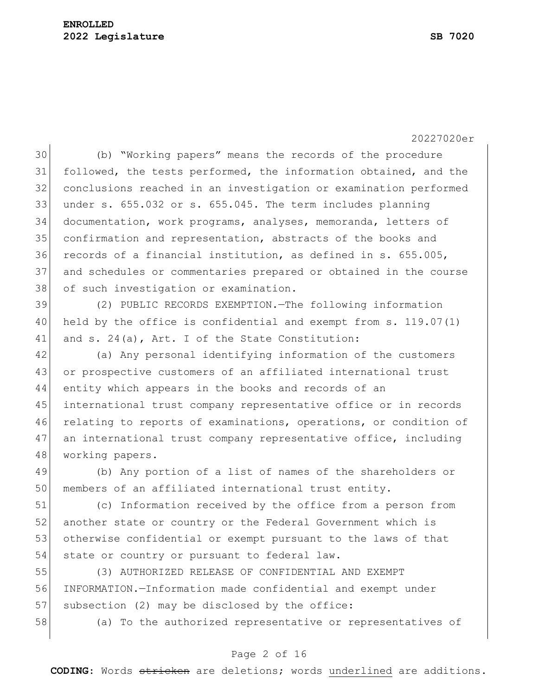(b) "Working papers" means the records of the procedure followed, the tests performed, the information obtained, and the conclusions reached in an investigation or examination performed under s. 655.032 or s. 655.045. The term includes planning documentation, work programs, analyses, memoranda, letters of confirmation and representation, abstracts of the books and records of a financial institution, as defined in s. 655.005, and schedules or commentaries prepared or obtained in the course 38 of such investigation or examination.

 (2) PUBLIC RECORDS EXEMPTION.—The following information held by the office is confidential and exempt from s. 119.07(1) 41 and s. 24(a), Art. I of the State Constitution:

 (a) Any personal identifying information of the customers 43 or prospective customers of an affiliated international trust entity which appears in the books and records of an 45 international trust company representative office or in records relating to reports of examinations, operations, or condition of 47 an international trust company representative office, including 48 working papers.

 (b) Any portion of a list of names of the shareholders or members of an affiliated international trust entity.

 (c) Information received by the office from a person from 52 another state or country or the Federal Government which is otherwise confidential or exempt pursuant to the laws of that 54 state or country or pursuant to federal law.

 (3) AUTHORIZED RELEASE OF CONFIDENTIAL AND EXEMPT INFORMATION.—Information made confidential and exempt under 57 subsection (2) may be disclosed by the office:

(a) To the authorized representative or representatives of

### Page 2 of 16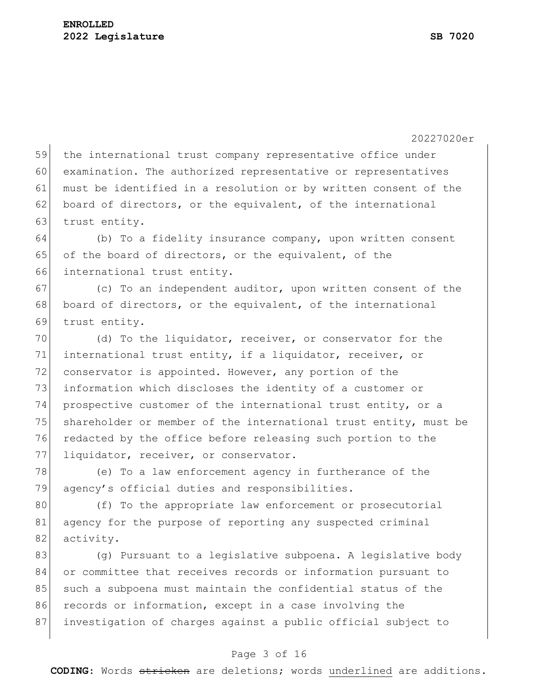|    | 20227020er                                                       |  |  |  |  |  |  |  |
|----|------------------------------------------------------------------|--|--|--|--|--|--|--|
| 59 | the international trust company representative office under      |  |  |  |  |  |  |  |
| 60 | examination. The authorized representative or representatives    |  |  |  |  |  |  |  |
| 61 | must be identified in a resolution or by written consent of the  |  |  |  |  |  |  |  |
| 62 | board of directors, or the equivalent, of the international      |  |  |  |  |  |  |  |
| 63 | trust entity.                                                    |  |  |  |  |  |  |  |
| 64 | (b) To a fidelity insurance company, upon written consent        |  |  |  |  |  |  |  |
| 65 | of the board of directors, or the equivalent, of the             |  |  |  |  |  |  |  |
| 66 | international trust entity.                                      |  |  |  |  |  |  |  |
| 67 | (c) To an independent auditor, upon written consent of the       |  |  |  |  |  |  |  |
| 68 | board of directors, or the equivalent, of the international      |  |  |  |  |  |  |  |
| 69 | trust entity.                                                    |  |  |  |  |  |  |  |
| 70 | (d) To the liquidator, receiver, or conservator for the          |  |  |  |  |  |  |  |
| 71 | international trust entity, if a liquidator, receiver, or        |  |  |  |  |  |  |  |
| 72 | conservator is appointed. However, any portion of the            |  |  |  |  |  |  |  |
| 73 | information which discloses the identity of a customer or        |  |  |  |  |  |  |  |
| 74 | prospective customer of the international trust entity, or a     |  |  |  |  |  |  |  |
| 75 | shareholder or member of the international trust entity, must be |  |  |  |  |  |  |  |
| 76 | redacted by the office before releasing such portion to the      |  |  |  |  |  |  |  |
| 77 | liquidator, receiver, or conservator.                            |  |  |  |  |  |  |  |
| 78 | (e) To a law enforcement agency in furtherance of the            |  |  |  |  |  |  |  |
| 79 | agency's official duties and responsibilities.                   |  |  |  |  |  |  |  |
| 80 | (f) To the appropriate law enforcement or prosecutorial          |  |  |  |  |  |  |  |
| 81 | agency for the purpose of reporting any suspected criminal       |  |  |  |  |  |  |  |
| 82 | activity.                                                        |  |  |  |  |  |  |  |
| 83 | (g) Pursuant to a legislative subpoena. A legislative body       |  |  |  |  |  |  |  |
| 84 | or committee that receives records or information pursuant to    |  |  |  |  |  |  |  |
| 85 | such a subpoena must maintain the confidential status of the     |  |  |  |  |  |  |  |
| 86 | records or information, except in a case involving the           |  |  |  |  |  |  |  |
| 87 | investigation of charges against a public official subject to    |  |  |  |  |  |  |  |

# Page 3 of 16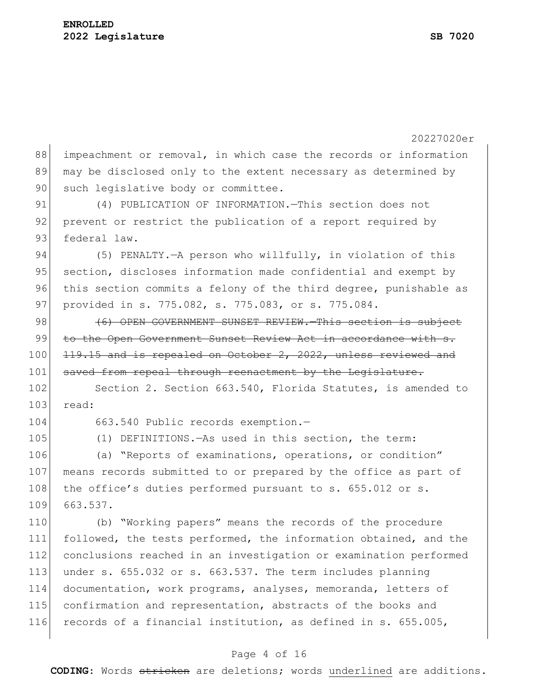|     | 20227020er                                                       |  |  |  |  |  |  |  |
|-----|------------------------------------------------------------------|--|--|--|--|--|--|--|
| 88  | impeachment or removal, in which case the records or information |  |  |  |  |  |  |  |
| 89  | may be disclosed only to the extent necessary as determined by   |  |  |  |  |  |  |  |
| 90  | such legislative body or committee.                              |  |  |  |  |  |  |  |
| 91  | (4) PUBLICATION OF INFORMATION. - This section does not          |  |  |  |  |  |  |  |
| 92  | prevent or restrict the publication of a report required by      |  |  |  |  |  |  |  |
| 93  | federal law.                                                     |  |  |  |  |  |  |  |
| 94  | (5) PENALTY. - A person who willfully, in violation of this      |  |  |  |  |  |  |  |
| 95  | section, discloses information made confidential and exempt by   |  |  |  |  |  |  |  |
| 96  | this section commits a felony of the third degree, punishable as |  |  |  |  |  |  |  |
| 97  | provided in s. 775.082, s. 775.083, or s. 775.084.               |  |  |  |  |  |  |  |
| 98  | (6) OPEN GOVERNMENT SUNSET REVIEW. This section is subject       |  |  |  |  |  |  |  |
| 99  | to the Open Government Sunset Review Act in accordance with s.   |  |  |  |  |  |  |  |
| 100 | 119.15 and is repealed on October 2, 2022, unless reviewed and   |  |  |  |  |  |  |  |
| 101 | saved from repeal through reenactment by the Legislature.        |  |  |  |  |  |  |  |
| 102 | Section 2. Section 663.540, Florida Statutes, is amended to      |  |  |  |  |  |  |  |
| 103 | read:                                                            |  |  |  |  |  |  |  |
| 104 | 663.540 Public records exemption.-                               |  |  |  |  |  |  |  |
| 105 | (1) DEFINITIONS. - As used in this section, the term:            |  |  |  |  |  |  |  |
| 106 | (a) "Reports of examinations, operations, or condition"          |  |  |  |  |  |  |  |
| 107 | means records submitted to or prepared by the office as part of  |  |  |  |  |  |  |  |
| 108 | the office's duties performed pursuant to s. 655.012 or s.       |  |  |  |  |  |  |  |
| 109 | 663.537.                                                         |  |  |  |  |  |  |  |
| 110 | (b) "Working papers" means the records of the procedure          |  |  |  |  |  |  |  |
| 111 | followed, the tests performed, the information obtained, and the |  |  |  |  |  |  |  |
| 112 | conclusions reached in an investigation or examination performed |  |  |  |  |  |  |  |
| 113 | under s. 655.032 or s. 663.537. The term includes planning       |  |  |  |  |  |  |  |
| 114 | documentation, work programs, analyses, memoranda, letters of    |  |  |  |  |  |  |  |
| 115 | confirmation and representation, abstracts of the books and      |  |  |  |  |  |  |  |
| 116 | records of a financial institution, as defined in s. 655.005,    |  |  |  |  |  |  |  |
|     |                                                                  |  |  |  |  |  |  |  |

# Page 4 of 16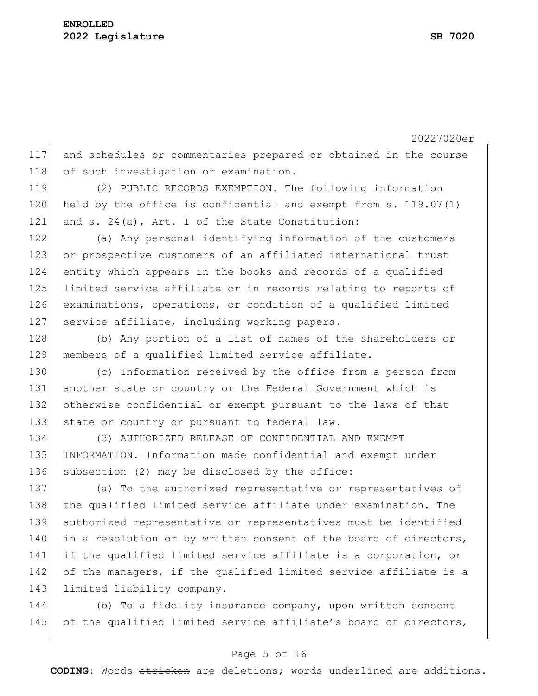117 and schedules or commentaries prepared or obtained in the course 118 of such investigation or examination.

119 (2) PUBLIC RECORDS EXEMPTION.—The following information 120 held by the office is confidential and exempt from s. 119.07(1) 121 and s. 24(a), Art. I of the State Constitution:

 (a) Any personal identifying information of the customers or prospective customers of an affiliated international trust entity which appears in the books and records of a qualified limited service affiliate or in records relating to reports of examinations, operations, or condition of a qualified limited 127 service affiliate, including working papers.

128 (b) Any portion of a list of names of the shareholders or 129 members of a qualified limited service affiliate.

 (c) Information received by the office from a person from another state or country or the Federal Government which is otherwise confidential or exempt pursuant to the laws of that 133 state or country or pursuant to federal law.

134 (3) AUTHORIZED RELEASE OF CONFIDENTIAL AND EXEMPT 135 INFORMATION.—Information made confidential and exempt under 136 subsection (2) may be disclosed by the office:

137 (a) To the authorized representative or representatives of 138 the qualified limited service affiliate under examination. The 139 authorized representative or representatives must be identified 140 in a resolution or by written consent of the board of directors, 141 if the qualified limited service affiliate is a corporation, or 142 of the managers, if the qualified limited service affiliate is a 143 limited liability company.

144 (b) To a fidelity insurance company, upon written consent 145 of the qualified limited service affiliate's board of directors,

### Page 5 of 16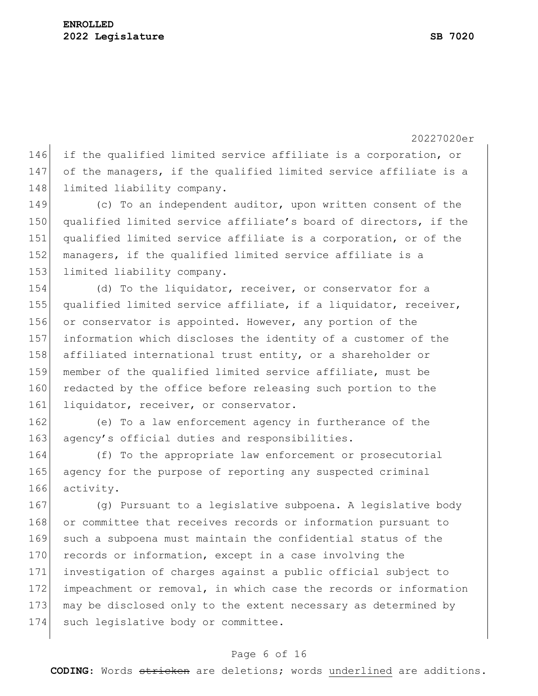146 if the qualified limited service affiliate is a corporation, or 147 of the managers, if the qualified limited service affiliate is a 148 limited liability company.

149 (c) To an independent auditor, upon written consent of the 150 qualified limited service affiliate's board of directors, if the 151 qualified limited service affiliate is a corporation, or of the 152 managers, if the qualified limited service affiliate is a 153 limited liability company.

154 (d) To the liquidator, receiver, or conservator for a 155 qualified limited service affiliate, if a liquidator, receiver, 156 or conservator is appointed. However, any portion of the 157 information which discloses the identity of a customer of the 158 affiliated international trust entity, or a shareholder or 159 member of the qualified limited service affiliate, must be 160 redacted by the office before releasing such portion to the 161 liquidator, receiver, or conservator.

162 (e) To a law enforcement agency in furtherance of the 163 agency's official duties and responsibilities.

164 (f) To the appropriate law enforcement or prosecutorial 165 agency for the purpose of reporting any suspected criminal 166 activity.

 (g) Pursuant to a legislative subpoena. A legislative body 168 or committee that receives records or information pursuant to such a subpoena must maintain the confidential status of the 170 records or information, except in a case involving the investigation of charges against a public official subject to impeachment or removal, in which case the records or information may be disclosed only to the extent necessary as determined by 174 such legislative body or committee.

### Page 6 of 16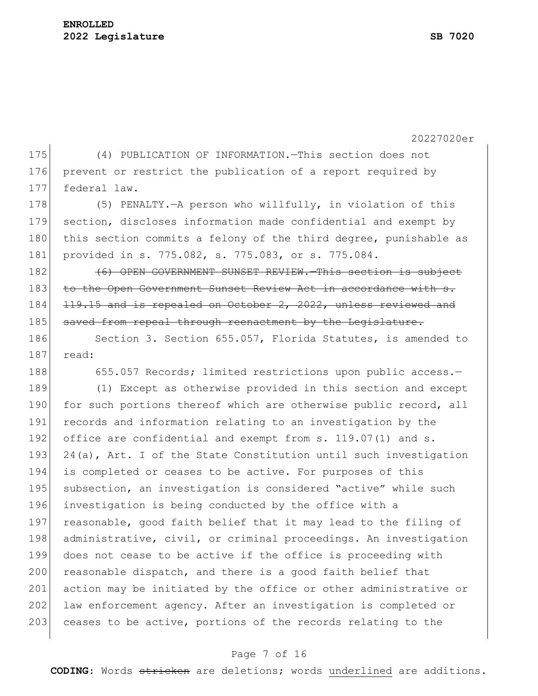175 (4) PUBLICATION OF INFORMATION.—This section does not 176 prevent or restrict the publication of a report required by 177 federal law.

178 (5) PENALTY.—A person who willfully, in violation of this 179 section, discloses information made confidential and exempt by 180 this section commits a felony of the third degree, punishable as 181 provided in s. 775.082, s. 775.083, or s. 775.084.

182 **(6)** OPEN GOVERNMENT SUNSET REVIEW. This section is subject 183 to the Open Government Sunset Review Act in accordance 184 119.15 and is repealed on October 2, 2022, unless reviewed and 185 saved from repeal through reenactment by the Legislature.

186 Section 3. Section 655.057, Florida Statutes, is amended to 187 read:

188 655.057 Records; limited restrictions upon public access.-

189 (1) Except as otherwise provided in this section and except 190 for such portions thereof which are otherwise public record, all 191 records and information relating to an investigation by the 192 office are confidential and exempt from s. 119.07(1) and s. 193  $24(a)$ , Art. I of the State Constitution until such investigation 194 is completed or ceases to be active. For purposes of this 195 subsection, an investigation is considered "active" while such 196 investigation is being conducted by the office with a 197 reasonable, good faith belief that it may lead to the filing of 198 administrative, civil, or criminal proceedings. An investigation 199 does not cease to be active if the office is proceeding with 200 reasonable dispatch, and there is a good faith belief that 201 action may be initiated by the office or other administrative or 202 law enforcement agency. After an investigation is completed or 203 ceases to be active, portions of the records relating to the

#### Page 7 of 16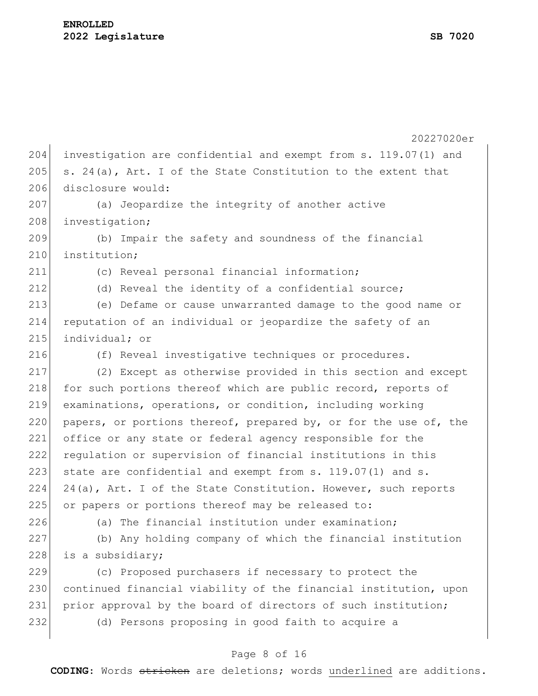|     | 20227020er                                                       |  |  |  |  |  |  |  |
|-----|------------------------------------------------------------------|--|--|--|--|--|--|--|
| 204 | investigation are confidential and exempt from s. 119.07(1) and  |  |  |  |  |  |  |  |
| 205 | s. 24(a), Art. I of the State Constitution to the extent that    |  |  |  |  |  |  |  |
| 206 | disclosure would:                                                |  |  |  |  |  |  |  |
| 207 | (a) Jeopardize the integrity of another active                   |  |  |  |  |  |  |  |
| 208 | investigation;                                                   |  |  |  |  |  |  |  |
| 209 | (b) Impair the safety and soundness of the financial             |  |  |  |  |  |  |  |
| 210 | institution;                                                     |  |  |  |  |  |  |  |
| 211 | (c) Reveal personal financial information;                       |  |  |  |  |  |  |  |
| 212 | (d) Reveal the identity of a confidential source;                |  |  |  |  |  |  |  |
| 213 | (e) Defame or cause unwarranted damage to the good name or       |  |  |  |  |  |  |  |
| 214 | reputation of an individual or jeopardize the safety of an       |  |  |  |  |  |  |  |
| 215 | individual; or                                                   |  |  |  |  |  |  |  |
| 216 | (f) Reveal investigative techniques or procedures.               |  |  |  |  |  |  |  |
| 217 | (2) Except as otherwise provided in this section and except      |  |  |  |  |  |  |  |
| 218 | for such portions thereof which are public record, reports of    |  |  |  |  |  |  |  |
| 219 | examinations, operations, or condition, including working        |  |  |  |  |  |  |  |
| 220 | papers, or portions thereof, prepared by, or for the use of, the |  |  |  |  |  |  |  |
| 221 | office or any state or federal agency responsible for the        |  |  |  |  |  |  |  |
| 222 | regulation or supervision of financial institutions in this      |  |  |  |  |  |  |  |
| 223 | state are confidential and exempt from s. 119.07(1) and s.       |  |  |  |  |  |  |  |
| 224 | 24(a), Art. I of the State Constitution. However, such reports   |  |  |  |  |  |  |  |
| 225 | or papers or portions thereof may be released to:                |  |  |  |  |  |  |  |
| 226 | (a) The financial institution under examination;                 |  |  |  |  |  |  |  |
| 227 | (b) Any holding company of which the financial institution       |  |  |  |  |  |  |  |
| 228 | is a subsidiary;                                                 |  |  |  |  |  |  |  |
| 229 | (c) Proposed purchasers if necessary to protect the              |  |  |  |  |  |  |  |
| 230 | continued financial viability of the financial institution, upon |  |  |  |  |  |  |  |
| 231 | prior approval by the board of directors of such institution;    |  |  |  |  |  |  |  |
| 232 | (d) Persons proposing in good faith to acquire a                 |  |  |  |  |  |  |  |
|     |                                                                  |  |  |  |  |  |  |  |

### Page 8 of 16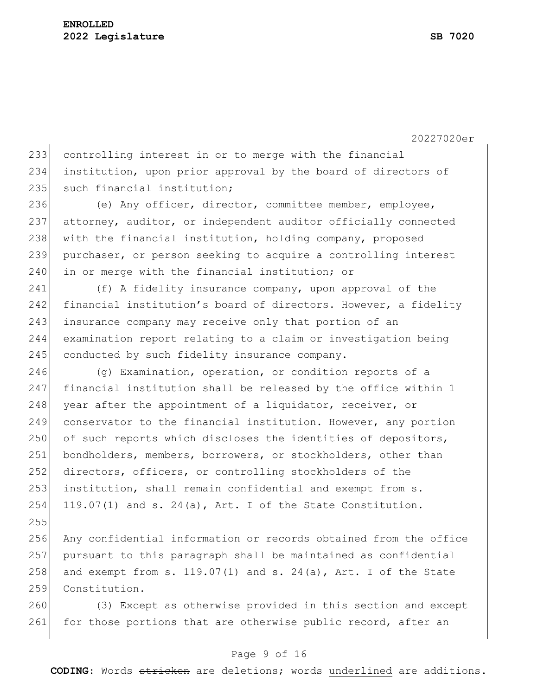255

20227020er

233 controlling interest in or to merge with the financial 234 institution, upon prior approval by the board of directors of 235 such financial institution;

236 (e) Any officer, director, committee member, employee, 237 attorney, auditor, or independent auditor officially connected 238 with the financial institution, holding company, proposed 239 purchaser, or person seeking to acquire a controlling interest 240 in or merge with the financial institution; or

241 (f) A fidelity insurance company, upon approval of the 242 financial institution's board of directors. However, a fidelity 243 insurance company may receive only that portion of an 244 examination report relating to a claim or investigation being 245 conducted by such fidelity insurance company.

246 (g) Examination, operation, or condition reports of a 247 financial institution shall be released by the office within 1 248 year after the appointment of a liquidator, receiver, or 249 conservator to the financial institution. However, any portion 250 of such reports which discloses the identities of depositors, 251 bondholders, members, borrowers, or stockholders, other than 252 directors, officers, or controlling stockholders of the 253 institution, shall remain confidential and exempt from s. 254 119.07(1) and s. 24(a), Art. I of the State Constitution.

256 Any confidential information or records obtained from the office 257 pursuant to this paragraph shall be maintained as confidential 258 and exempt from s.  $119.07(1)$  and s.  $24(a)$ , Art. I of the State 259 Constitution.

260 (3) Except as otherwise provided in this section and except 261 for those portions that are otherwise public record, after an

### Page 9 of 16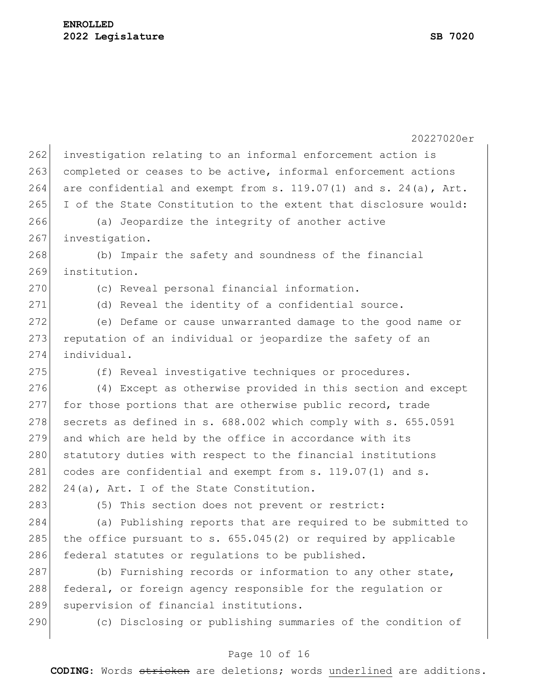|     | 20227020er                                                       |  |  |  |  |  |  |  |
|-----|------------------------------------------------------------------|--|--|--|--|--|--|--|
| 262 | investigation relating to an informal enforcement action is      |  |  |  |  |  |  |  |
| 263 | completed or ceases to be active, informal enforcement actions   |  |  |  |  |  |  |  |
| 264 | are confidential and exempt from s. 119.07(1) and s. 24(a), Art. |  |  |  |  |  |  |  |
| 265 | I of the State Constitution to the extent that disclosure would: |  |  |  |  |  |  |  |
| 266 | (a) Jeopardize the integrity of another active                   |  |  |  |  |  |  |  |
| 267 | investigation.                                                   |  |  |  |  |  |  |  |
| 268 | (b) Impair the safety and soundness of the financial             |  |  |  |  |  |  |  |
| 269 | institution.                                                     |  |  |  |  |  |  |  |
| 270 | (c) Reveal personal financial information.                       |  |  |  |  |  |  |  |
| 271 | (d) Reveal the identity of a confidential source.                |  |  |  |  |  |  |  |
| 272 | (e) Defame or cause unwarranted damage to the good name or       |  |  |  |  |  |  |  |
| 273 | reputation of an individual or jeopardize the safety of an       |  |  |  |  |  |  |  |
| 274 | individual.                                                      |  |  |  |  |  |  |  |
| 275 | (f) Reveal investigative techniques or procedures.               |  |  |  |  |  |  |  |
| 276 | (4) Except as otherwise provided in this section and except      |  |  |  |  |  |  |  |
| 277 | for those portions that are otherwise public record, trade       |  |  |  |  |  |  |  |
| 278 | secrets as defined in s. 688.002 which comply with s. 655.0591   |  |  |  |  |  |  |  |
| 279 | and which are held by the office in accordance with its          |  |  |  |  |  |  |  |
| 280 | statutory duties with respect to the financial institutions      |  |  |  |  |  |  |  |
| 281 | codes are confidential and exempt from s. 119.07(1) and s.       |  |  |  |  |  |  |  |
| 282 | 24(a), Art. I of the State Constitution.                         |  |  |  |  |  |  |  |
| 283 | (5) This section does not prevent or restrict:                   |  |  |  |  |  |  |  |
| 284 | (a) Publishing reports that are required to be submitted to      |  |  |  |  |  |  |  |
| 285 | the office pursuant to s. $655.045(2)$ or required by applicable |  |  |  |  |  |  |  |
| 286 | federal statutes or regulations to be published.                 |  |  |  |  |  |  |  |
| 287 | (b) Furnishing records or information to any other state,        |  |  |  |  |  |  |  |
| 288 | federal, or foreign agency responsible for the regulation or     |  |  |  |  |  |  |  |
| 289 | supervision of financial institutions.                           |  |  |  |  |  |  |  |
| 290 | (c) Disclosing or publishing summaries of the condition of       |  |  |  |  |  |  |  |

# Page 10 of 16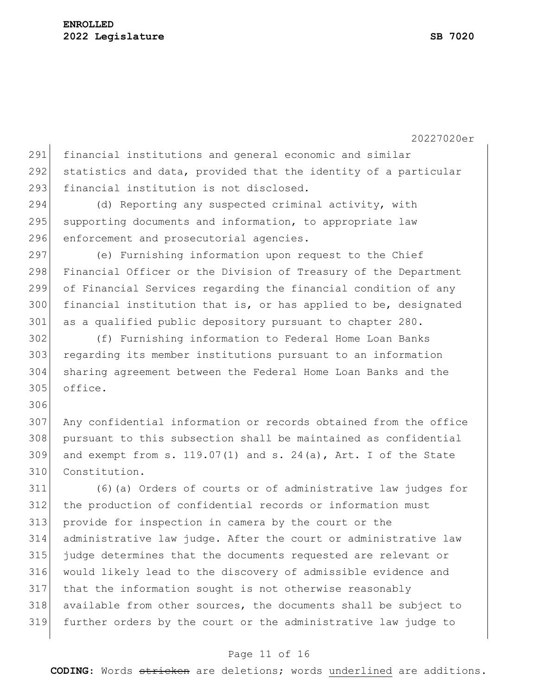20227020er

 financial institutions and general economic and similar 292 statistics and data, provided that the identity of a particular 293 financial institution is not disclosed.

294 (d) Reporting any suspected criminal activity, with 295 supporting documents and information, to appropriate law 296 enforcement and prosecutorial agencies.

 (e) Furnishing information upon request to the Chief Financial Officer or the Division of Treasury of the Department of Financial Services regarding the financial condition of any 300 financial institution that is, or has applied to be, designated 301 as a qualified public depository pursuant to chapter 280.

 (f) Furnishing information to Federal Home Loan Banks regarding its member institutions pursuant to an information sharing agreement between the Federal Home Loan Banks and the office.

 Any confidential information or records obtained from the office pursuant to this subsection shall be maintained as confidential 309 and exempt from s.  $119.07(1)$  and s.  $24(a)$ , Art. I of the State Constitution.

 (6)(a) Orders of courts or of administrative law judges for the production of confidential records or information must provide for inspection in camera by the court or the administrative law judge. After the court or administrative law judge determines that the documents requested are relevant or would likely lead to the discovery of admissible evidence and that the information sought is not otherwise reasonably available from other sources, the documents shall be subject to further orders by the court or the administrative law judge to

### Page 11 of 16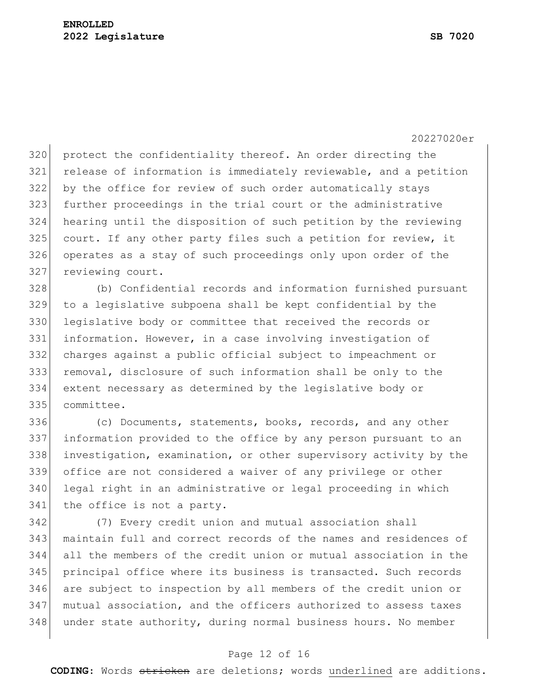320 protect the confidentiality thereof. An order directing the release of information is immediately reviewable, and a petition by the office for review of such order automatically stays further proceedings in the trial court or the administrative hearing until the disposition of such petition by the reviewing 325 court. If any other party files such a petition for review, it operates as a stay of such proceedings only upon order of the 327 reviewing court.

 (b) Confidential records and information furnished pursuant to a legislative subpoena shall be kept confidential by the 330 legislative body or committee that received the records or information. However, in a case involving investigation of charges against a public official subject to impeachment or removal, disclosure of such information shall be only to the extent necessary as determined by the legislative body or committee.

 (c) Documents, statements, books, records, and any other information provided to the office by any person pursuant to an investigation, examination, or other supervisory activity by the office are not considered a waiver of any privilege or other legal right in an administrative or legal proceeding in which 341 the office is not a party.

 (7) Every credit union and mutual association shall maintain full and correct records of the names and residences of all the members of the credit union or mutual association in the principal office where its business is transacted. Such records are subject to inspection by all members of the credit union or mutual association, and the officers authorized to assess taxes 348 under state authority, during normal business hours. No member

#### Page 12 of 16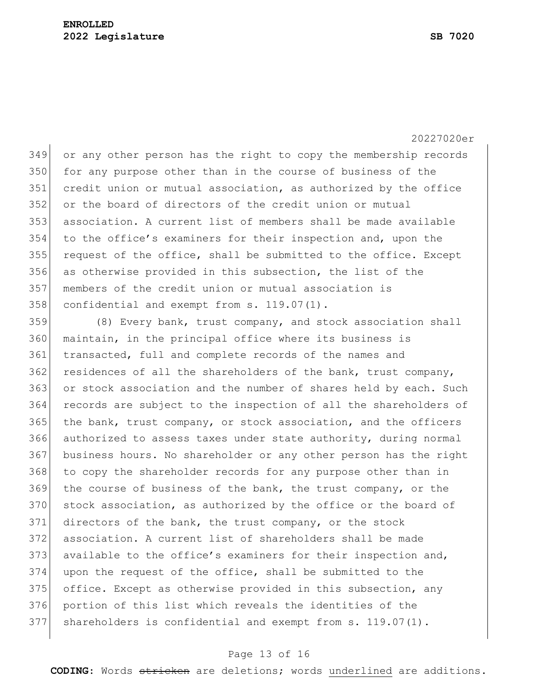or any other person has the right to copy the membership records for any purpose other than in the course of business of the 351 credit union or mutual association, as authorized by the office or the board of directors of the credit union or mutual association. A current list of members shall be made available to the office's examiners for their inspection and, upon the request of the office, shall be submitted to the office. Except as otherwise provided in this subsection, the list of the members of the credit union or mutual association is confidential and exempt from s. 119.07(1).

 (8) Every bank, trust company, and stock association shall maintain, in the principal office where its business is transacted, full and complete records of the names and residences of all the shareholders of the bank, trust company, or stock association and the number of shares held by each. Such records are subject to the inspection of all the shareholders of the bank, trust company, or stock association, and the officers authorized to assess taxes under state authority, during normal business hours. No shareholder or any other person has the right to copy the shareholder records for any purpose other than in 369 the course of business of the bank, the trust company, or the 370 stock association, as authorized by the office or the board of directors of the bank, the trust company, or the stock association. A current list of shareholders shall be made available to the office's examiners for their inspection and, upon the request of the office, shall be submitted to the office. Except as otherwise provided in this subsection, any portion of this list which reveals the identities of the shareholders is confidential and exempt from s. 119.07(1).

### Page 13 of 16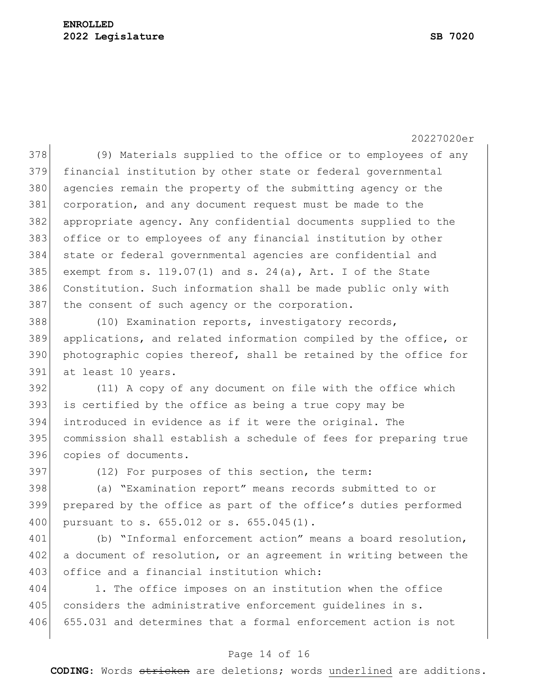378 (9) Materials supplied to the office or to employees of any 379 financial institution by other state or federal governmental 380 agencies remain the property of the submitting agency or the 381 corporation, and any document request must be made to the 382 appropriate agency. Any confidential documents supplied to the 383 office or to employees of any financial institution by other 384 state or federal governmental agencies are confidential and 385 exempt from s. 119.07(1) and s. 24(a), Art. I of the State 386 Constitution. Such information shall be made public only with 387 the consent of such agency or the corporation.

 (10) Examination reports, investigatory records, applications, and related information compiled by the office, or photographic copies thereof, shall be retained by the office for at least 10 years.

 (11) A copy of any document on file with the office which is certified by the office as being a true copy may be introduced in evidence as if it were the original. The commission shall establish a schedule of fees for preparing true copies of documents.

397 (12) For purposes of this section, the term:

398 (a) "Examination report" means records submitted to or 399 prepared by the office as part of the office's duties performed 400 pursuant to s. 655.012 or s. 655.045(1).

401 (b) "Informal enforcement action" means a board resolution, 402 a document of resolution, or an agreement in writing between the 403 office and a financial institution which:

404 1. The office imposes on an institution when the office 405 considers the administrative enforcement quidelines in s. 406 655.031 and determines that a formal enforcement action is not

### Page 14 of 16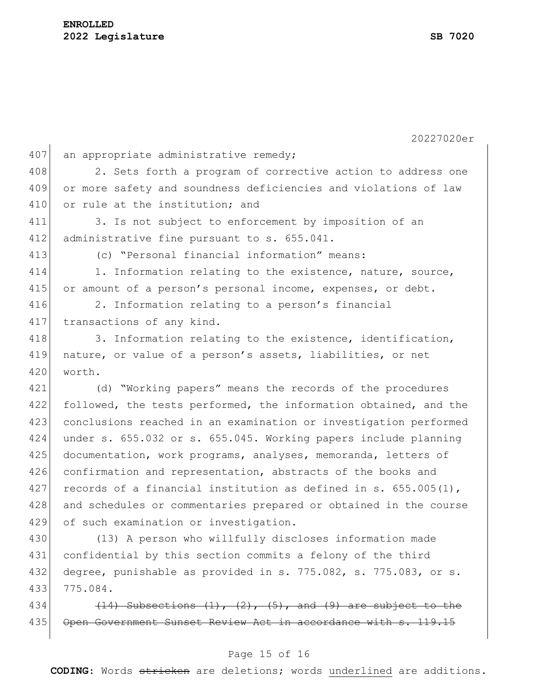20227020er  $407$  an appropriate administrative remedy; 408 2. Sets forth a program of corrective action to address one 409 or more safety and soundness deficiencies and violations of law 410 or rule at the institution: and 411 3. Is not subject to enforcement by imposition of an 412 administrative fine pursuant to s. 655.041. 413 (c) "Personal financial information" means: 414 1. Information relating to the existence, nature, source, 415 or amount of a person's personal income, expenses, or debt. 416 2. Information relating to a person's financial 417 transactions of any kind. 418 3. Information relating to the existence, identification, 419 nature, or value of a person's assets, liabilities, or net 420 worth. 421 (d) "Working papers" means the records of the procedures 422 followed, the tests performed, the information obtained, and the 423 conclusions reached in an examination or investigation performed 424 under s. 655.032 or s. 655.045. Working papers include planning 425 documentation, work programs, analyses, memoranda, letters of 426 confirmation and representation, abstracts of the books and 427 records of a financial institution as defined in s.  $655.005(1)$ , 428 and schedules or commentaries prepared or obtained in the course 429 of such examination or investigation. 430 (13) A person who willfully discloses information made

431 confidential by this section commits a felony of the third 432 degree, punishable as provided in s. 775.082, s. 775.083, or s. 433 775.084.

434  $(14)$  Subsections  $(1)$ ,  $(2)$ ,  $(5)$ , and  $(9)$  are subject to the 435 | Open Government Sunset Review Act in accordance with s. 119.

### Page 15 of 16